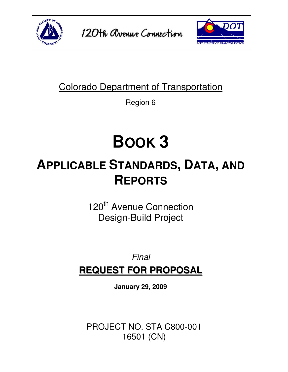

120th avenue Connection



### Colorado Department of Transportation

Region 6

# **BOOK 3**

## **APPLICABLE STANDARDS, DATA, AND REPORTS**

120<sup>th</sup> Avenue Connection Design-Build Project

## Final **REQUEST FOR PROPOSAL**

**January 29, 2009** 

PROJECT NO. STA C800-001 16501 (CN)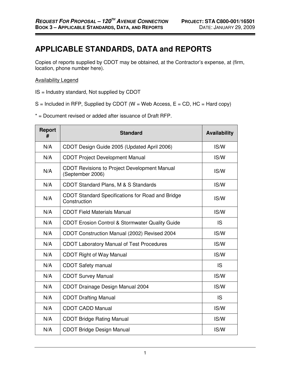#### **APPLICABLE STANDARDS, DATA and REPORTS**

Copies of reports supplied by CDOT may be obtained, at the Contractor's expense, at (firm, location, phone number here).

#### Availability Legend

- IS = Industry standard, Not supplied by CDOT
- $S =$  Included in RFP, Supplied by CDOT (W = Web Access, E = CD, HC = Hard copy)
- \* = Document revised or added after issuance of Draft RFP.

| <b>Report</b><br># | <b>Standard</b>                                                         | <b>Availability</b> |
|--------------------|-------------------------------------------------------------------------|---------------------|
| N/A                | CDOT Design Guide 2005 (Updated April 2006)                             | IS/W                |
| N/A                | <b>CDOT Project Development Manual</b>                                  | IS/W                |
| N/A                | <b>CDOT Revisions to Project Development Manual</b><br>(September 2006) | IS/W                |
| N/A                | CDOT Standard Plans, M & S Standards                                    | IS/W                |
| N/A                | <b>CDOT Standard Specifications for Road and Bridge</b><br>Construction | IS/W                |
| N/A                | <b>CDOT Field Materials Manual</b>                                      | IS/W                |
| N/A                | CDOT Erosion Control & Stormwater Quality Guide                         | IS                  |
| N/A                | CDOT Construction Manual (2002) Revised 2004                            | IS/W                |
| N/A                | <b>CDOT Laboratory Manual of Test Procedures</b>                        | IS/W                |
| N/A                | <b>CDOT Right of Way Manual</b>                                         | IS/W                |
| N/A                | <b>CDOT Safety manual</b>                                               | <b>IS</b>           |
| N/A                | <b>CDOT Survey Manual</b>                                               | IS/W                |
| N/A                | CDOT Drainage Design Manual 2004                                        | IS/W                |
| N/A                | <b>CDOT Drafting Manual</b>                                             | IS                  |
| N/A                | <b>CDOT CADD Manual</b>                                                 | IS/W                |
| N/A                | <b>CDOT Bridge Rating Manual</b>                                        | IS/W                |
| N/A                | <b>CDOT Bridge Design Manual</b>                                        | IS/W                |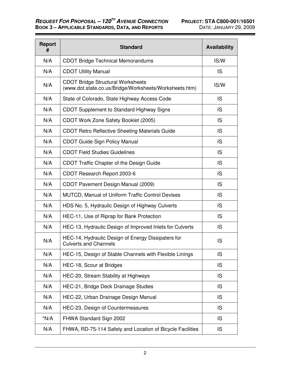$\overline{\phantom{a}}$ 

<u> 1989 - Johann Barn, mars eta bainar eta hiri (h. 1989).</u>

۰.

| <b>Report</b><br># | <b>Standard</b>                                                                                    | <b>Availability</b> |
|--------------------|----------------------------------------------------------------------------------------------------|---------------------|
| N/A                | <b>CDOT Bridge Technical Memorandums</b>                                                           | IS/W                |
| N/A                | <b>CDOT Utility Manual</b>                                                                         | <b>IS</b>           |
| N/A                | <b>CDOT Bridge Structural Worksheets</b><br>(www.dot.state.co.us/Bridge/Worksheets/Worksheets.htm) | IS/W                |
| N/A                | State of Colorado, State Highway Access Code                                                       | IS                  |
| N/A                | <b>CDOT Supplement to Standard Highway Signs</b>                                                   | <b>IS</b>           |
| N/A                | CDOT Work Zone Safety Booklet (2005)                                                               | <b>IS</b>           |
| N/A                | <b>CDOT Retro Reflective Sheeting Materials Guide</b>                                              | <b>IS</b>           |
| N/A                | <b>CDOT Guide Sign Policy Manual</b>                                                               | <b>IS</b>           |
| N/A                | <b>CDOT Field Studies Guidelines</b>                                                               | <b>IS</b>           |
| N/A                | CDOT Traffic Chapter of the Design Guide                                                           | <b>IS</b>           |
| N/A                | CDOT Research Report 2003-6                                                                        | <b>IS</b>           |
| N/A                | CDOT Pavement Design Manual (2009)                                                                 | <b>IS</b>           |
| N/A                | <b>MUTCD, Manual of Uniform Traffic Control Devises</b>                                            | IS                  |
| N/A                | HDS No. 5, Hydraulic Design of Highway Culverts                                                    | <b>IS</b>           |
| N/A                | HEC-11, Use of Riprap for Bank Protection                                                          | <b>IS</b>           |
| N/A                | HEC-13, Hydraulic Design of Improved Inlets for Culverts                                           | <b>IS</b>           |
| N/A                | HEC-14, Hydraulic Design of Energy Dissipaters for<br><b>Culverts and Channels</b>                 | <b>IS</b>           |
| N/A                | HEC-15, Design of Stable Channels with Flexible Linings                                            | IS                  |
| N/A                | HEC-18, Scour at Bridges                                                                           | <b>IS</b>           |
| N/A                | HEC-20, Stream Stability at Highways                                                               | <b>IS</b>           |
| N/A                | HEC-21, Bridge Deck Drainage Studies                                                               | <b>IS</b>           |
| N/A                | HEC-22, Urban Drainage Design Manual                                                               | <b>IS</b>           |
| N/A                | HEC-23, Design of Countermeasures                                                                  | <b>IS</b>           |
| $*N/A$             | FHWA Standard Sign 2002                                                                            | <b>IS</b>           |
| N/A                | FHWA, RD-75-114 Safety and Location of Bicycle Facilities                                          | <b>IS</b>           |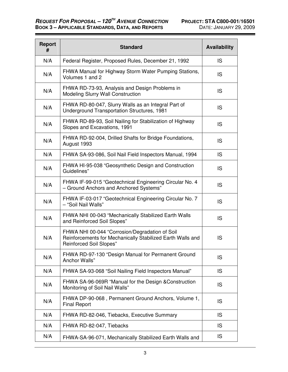<u> Albanya di Bandari Bandari Bandari Bandari Bandari Bandari Bandari Bandari Bandari Bandari Bandari Bandari Bandari Bandari Bandari Bandari Bandari Bandari Bandari Bandari Bandari Bandari Bandari Bandari Bandari Bandari B</u>

Ξ.

| <b>Report</b><br># | <b>Standard</b>                                                                                                                                | <b>Availability</b> |
|--------------------|------------------------------------------------------------------------------------------------------------------------------------------------|---------------------|
| N/A                | Federal Register, Proposed Rules, December 21, 1992                                                                                            | <b>IS</b>           |
| N/A                | FHWA Manual for Highway Storm Water Pumping Stations,<br>Volumes 1 and 2                                                                       | IS                  |
| N/A                | FHWA RD-73-93, Analysis and Design Problems in<br>Modeling Slurry Wall Construction                                                            | <b>IS</b>           |
| N/A                | FHWA RD-80-047, Slurry Walls as an Integral Part of<br><b>Underground Transportation Structures, 1981</b>                                      | IS                  |
| N/A                | FHWA RD-89-93, Soil Nailing for Stabilization of Highway<br>Slopes and Excavations, 1991                                                       | <b>IS</b>           |
| N/A                | FHWA RD-92-004, Drilled Shafts for Bridge Foundations,<br>August 1993                                                                          | <b>IS</b>           |
| N/A                | FHWA SA-93-086, Soil Nail Field Inspectors Manual, 1994                                                                                        | <b>IS</b>           |
| N/A                | FHWA HI-95-038 "Geosynthetic Design and Construction<br>Guidelines"                                                                            | IS                  |
| N/A                | FHWA IF-99-015 "Geotechnical Engineering Circular No. 4<br>- Ground Anchors and Anchored Systems"                                              | <b>IS</b>           |
| N/A                | FHWA IF-03-017 "Geotechnical Engineering Circular No. 7<br>- "Soil Nail Walls"                                                                 | IS                  |
| N/A                | FHWA NHI 00-043 "Mechanically Stabilized Earth Walls<br>and Reinforced Soil Slopes"                                                            | IS                  |
| N/A                | FHWA NHI 00-044 "Corrosion/Degradation of Soil<br>Reinforcements for Mechanically Stabilized Earth Walls and<br><b>Reinforced Soil Slopes"</b> | <b>IS</b>           |
| N/A                | FHWA RD-97-130 "Design Manual for Permanent Ground<br>Anchor Walls"                                                                            | IS                  |
| N/A                | FHWA SA-93-068 "Soil Nailing Field Inspectors Manual"                                                                                          | <b>IS</b>           |
| N/A                | FHWA SA-96-069R "Manual for the Design & Construction<br>Monitoring of Soil Nail Walls"                                                        | IS                  |
| N/A                | FHWA DP-90-068, Permanent Ground Anchors, Volume 1,<br><b>Final Report</b>                                                                     | IS                  |
| N/A                | FHWA RD-82-046, Tiebacks, Executive Summary                                                                                                    | <b>IS</b>           |
| N/A                | FHWA RD-82-047, Tiebacks                                                                                                                       | <b>IS</b>           |
| N/A                | FHWA-SA-96-071, Mechanically Stabilized Earth Walls and                                                                                        | <b>IS</b>           |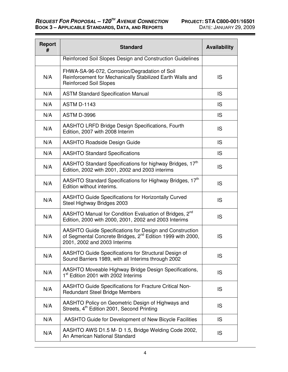<u> Maria Alemania de San A</u>

| Report<br># | <b>Standard</b>                                                                                                                                                   | <b>Availability</b> |
|-------------|-------------------------------------------------------------------------------------------------------------------------------------------------------------------|---------------------|
|             | Reinforced Soil Slopes Design and Construction Guidelines                                                                                                         |                     |
| N/A         | FHWA-SA-96-072, Corrosion/Degradation of Soil<br>Reinforcement for Mechanically Stabilized Earth Walls and<br><b>Reinforced Soil Slopes</b>                       | <b>IS</b>           |
| N/A         | <b>ASTM Standard Specification Manual</b>                                                                                                                         | IS                  |
| N/A         | <b>ASTM D-1143</b>                                                                                                                                                | IS                  |
| N/A         | <b>ASTM D-3996</b>                                                                                                                                                | <b>IS</b>           |
| N/A         | <b>AASHTO LRFD Bridge Design Specifications, Fourth</b><br>Edition, 2007 with 2008 Interim                                                                        | IS                  |
| N/A         | <b>AASHTO Roadside Design Guide</b>                                                                                                                               | IS                  |
| N/A         | <b>AASHTO Standard Specifications</b>                                                                                                                             | IS                  |
| N/A         | AASHTO Standard Specifications for highway Bridges, 17 <sup>th</sup><br>Edition, 2002 with 2001, 2002 and 2003 interims                                           | IS                  |
| N/A         | AASHTO Standard Specifications for Highway Bridges, 17 <sup>th</sup><br>Edition without interims.                                                                 | <b>IS</b>           |
| N/A         | <b>AASHTO Guide Specifications for Horizontally Curved</b><br>Steel Highway Bridges 2003                                                                          | <b>IS</b>           |
| N/A         | AASHTO Manual for Condition Evaluation of Bridges, 2 <sup>nd</sup><br>Edition, 2000 with 2000, 2001, 2002 and 2003 Interims                                       | <b>IS</b>           |
| N/A         | AASHTO Guide Specifications for Design and Construction<br>of Segmental Concrete Bridges, 2 <sup>nd</sup> Edition 1999 with 2000,<br>2001, 2002 and 2003 Interims | <b>IS</b>           |
| N/A         | AASHTO Guide Specifications for Structural Design of<br>Sound Barriers 1989, with all Interims through 2002                                                       | IS                  |
| N/A         | AASHTO Moveable Highway Bridge Design Specifications,<br>1 <sup>st</sup> Edition 2001 with 2002 Interims                                                          | IS                  |
| N/A         | <b>AASHTO Guide Specifications for Fracture Critical Non-</b><br><b>Redundant Steel Bridge Members</b>                                                            | IS                  |
| N/A         | AASHTO Policy on Geometric Design of Highways and<br>Streets, 4 <sup>th</sup> Edition 2001, Second Printing                                                       | IS                  |
| N/A         | AASHTO Guide for Development of New Bicycle Facilities                                                                                                            | <b>IS</b>           |
| N/A         | AASHTO AWS D1.5 M- D 1.5, Bridge Welding Code 2002,<br>An American National Standard                                                                              | <b>IS</b>           |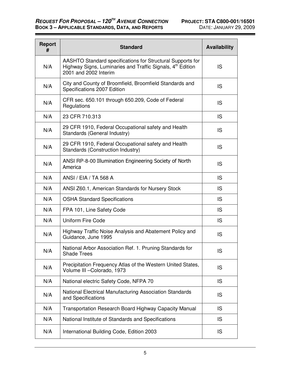Ξ,

| <b>Report</b><br># | <b>Standard</b>                                                                                                                                               | <b>Availability</b> |
|--------------------|---------------------------------------------------------------------------------------------------------------------------------------------------------------|---------------------|
| N/A                | AASHTO Standard specifications for Structural Supports for<br>Highway Signs, Luminaries and Traffic Signals, 4 <sup>th</sup> Edition<br>2001 and 2002 Interim | <b>IS</b>           |
| N/A                | City and County of Broomfield, Broomfield Standards and<br>Specifications 2007 Edition                                                                        | <b>IS</b>           |
| N/A                | CFR sec. 650.101 through 650.209, Code of Federal<br>Regulations                                                                                              | <b>IS</b>           |
| N/A                | 23 CFR 710.313                                                                                                                                                | <b>IS</b>           |
| N/A                | 29 CFR 1910, Federal Occupational safety and Health<br>Standards (General Industry)                                                                           | <b>IS</b>           |
| N/A                | 29 CFR 1910, Federal Occupational safety and Health<br>Standards (Construction Industry)                                                                      | <b>IS</b>           |
| N/A                | ANSI RP-8-00 Illumination Engineering Society of North<br>America                                                                                             | <b>IS</b>           |
| N/A                | ANSI / EIA / TA 568 A                                                                                                                                         | IS                  |
| N/A                | ANSI Z60.1, American Standards for Nursery Stock                                                                                                              | IS                  |
| N/A                | <b>OSHA Standard Specifications</b>                                                                                                                           | IS                  |
| N/A                | FPA 101, Line Safety Code                                                                                                                                     | IS                  |
| N/A                | <b>Uniform Fire Code</b>                                                                                                                                      | <b>IS</b>           |
| N/A                | Highway Traffic Noise Analysis and Abatement Policy and<br>Guidance, June 1995                                                                                | <b>IS</b>           |
| N/A                | National Arbor Association Ref. 1. Pruning Standards for<br><b>Shade Trees</b>                                                                                | IS                  |
| N/A                | Precipitation Frequency Atlas of the Western United States,<br>Volume III - Colorado, 1973                                                                    | IS                  |
| N/A                | National electric Safety Code, NFPA 70                                                                                                                        | <b>IS</b>           |
| N/A                | National Electrical Manufacturing Association Standards<br>and Specifications                                                                                 | IS                  |
| N/A                | Transportation Research Board Highway Capacity Manual                                                                                                         | IS                  |
| N/A                | National Institute of Standards and Specifications                                                                                                            | IS                  |
| N/A                | International Building Code, Edition 2003                                                                                                                     | IS                  |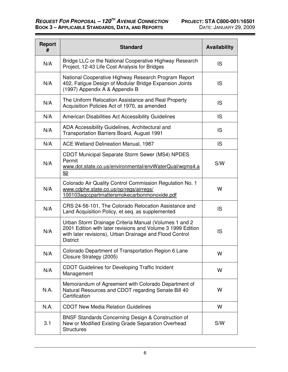▄

| <b>Report</b><br># | <b>Standard</b>                                                                                                                                                                                    | <b>Availability</b> |
|--------------------|----------------------------------------------------------------------------------------------------------------------------------------------------------------------------------------------------|---------------------|
| N/A                | Bridge LLC or the National Cooperative Highway Research<br>Project, 12-43 Life Cost Analysis for Bridges                                                                                           | <b>IS</b>           |
| N/A                | National Cooperative Highway Research Program Report<br>402, Fatigue Design of Modular Bridge Expansion Joints<br>(1997) Appendix A & Appendix B                                                   | IS                  |
| N/A                | The Uniform Relocation Assistance and Real Property<br>Acquisition Policies Act of 1970, as amended                                                                                                | <b>IS</b>           |
| N/A                | American Disabilities Act Accessibility Guidelines                                                                                                                                                 | IS                  |
| N/A                | ADA Accessibility Guidelines, Architectural and<br><b>Transportation Barriers Board, August 1991</b>                                                                                               | IS                  |
| N/A                | ACE Wetland Delineation Manual, 1987                                                                                                                                                               | IS                  |
| N/A                | CDOT Municipal Separate Storm Sewer (MS4) NPDES<br>Permit<br>www.dot.state.co.us/environmental/envWaterQual/wqms4.a<br>SD                                                                          | S/W                 |
| N/A                | Colorado Air Quality Control Commission Regulation No. 1<br>www.cdphe.state.co.us/op/regs/airregs/<br>100103aqccpartmattersmokecarbonmonoxide.pdf                                                  | W                   |
| N/A                | CRS 24-56-101, The Colorado Relocation Assistance and<br>Land Acquisition Policy, et seq. as supplemented                                                                                          | <b>IS</b>           |
| N/A                | Urban Storm Drainage Criteria Manual (Volumes 1 and 2<br>2001 Edition with later revisions and Volume 3 1999 Edition<br>with later revisions), Urban Drainage and Flood Control<br><b>District</b> | <b>IS</b>           |
| N/A                | Colorado Department of Transportation Region 6 Lane<br>Closure Strategy (2005)                                                                                                                     | W                   |
| N/A                | <b>CDOT Guidelines for Developing Traffic Incident</b><br>Management                                                                                                                               | W                   |
| N.A.               | Memorandum of Agreement with Colorado Department of<br>Natural Resources and CDOT regarding Senate Bill 40<br>Certification                                                                        | W                   |
| N.A.               | <b>CDOT New Media Relation Guidelines</b>                                                                                                                                                          | W                   |
| 3.1                | <b>BNSF Standards Concerning Design &amp; Construction of</b><br>New or Modified Existing Grade Separation Overhead<br><b>Structures</b>                                                           | S/W                 |